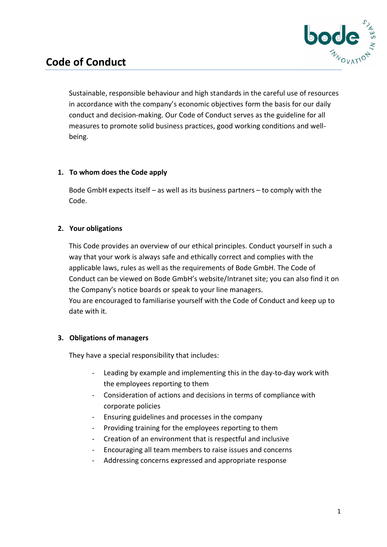

# **Code of Conduct**

Sustainable, responsible behaviour and high standards in the careful use of resources in accordance with the company's economic objectives form the basis for our daily conduct and decision-making. Our Code of Conduct serves as the guideline for all measures to promote solid business practices, good working conditions and well being.

#### **1. To whom does the Code apply**

Bode GmbH expects itself – as well as its business partners – to comply with the Code.

## **2. Your obligations**

This Code provides an overview of our ethical principles. Conduct yourself in such a way that your work is always safe and ethically correct and complies with the applicable laws, rules as well as the requirements of Bode GmbH. The Code of Conduct can be viewed on Bode GmbH's website/Intranet site; you can also find it on the Company's notice boards or speak to your line managers. You are encouraged to familiarise yourself with the Code of Conduct and keep up to date with it.

## **3. Obligations of managers**

They have a special responsibility that includes:

- Leading by example and implementing this in the day-to-day work with the employees reporting to them
- Consideration of actions and decisions in terms of compliance with corporate policies
- Ensuring guidelines and processes in the company
- Providing training for the employees reporting to them
- Creation of an environment that is respectful and inclusive
- Encouraging all team members to raise issues and concerns
- Addressing concerns expressed and appropriate response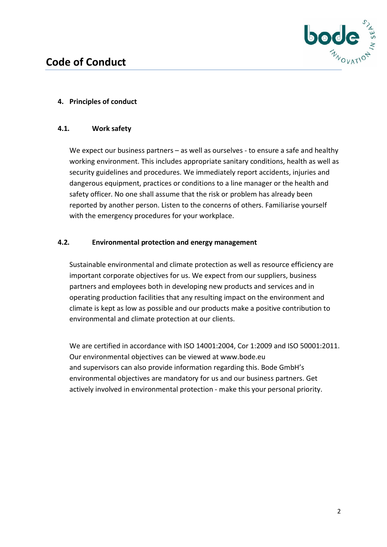

# **4. Principles of conduct**

### **4.1. Work safety**

We expect our business partners – as well as ourselves - to ensure a safe and healthy working environment. This includes appropriate sanitary conditions, health as well as security guidelines and procedures. We immediately report accidents, injuries and dangerous equipment, practices or conditions to a line manager or the health and safety officer. No one shall assume that the risk or problem has already been reported by another person. Listen to the concerns of others. Familiarise yourself with the emergency procedures for your workplace.

## **4.2. Environmental protection and energy management**

Sustainable environmental and climate protection as well as resource efficiency are important corporate objectives for us. We expect from our suppliers, business partners and employees both in developing new products and services and in operating production facilities that any resulting impact on the environment and climate is kept as low as possible and our products make a positive contribution to environmental and climate protection at our clients.

We are certified in accordance with ISO 14001:2004, Cor 1:2009 and ISO 50001:2011. Our environmental objectives can be viewed at [www.bode.eu](http://www.bode.eu) and supervisors can also provide information regarding this. Bode GmbH's environmental objectives are mandatory for us and our business partners. Get actively involved in environmental protection - make this your personal priority.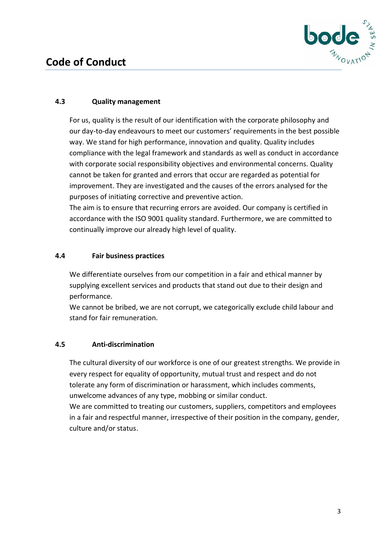

# **Code of Conduct**

# **4.3 Quality management**

For us, quality is the result of our identification with the corporate philosophy and our day-to-day endeavours to meet our customers' requirements in the best possible way. We stand for high performance, innovation and quality. Quality includes compliance with the legal framework and standards as well as conduct in accordance with corporate social responsibility objectives and environmental concerns. Quality cannot be taken for granted and errors that occur are regarded as potential for improvement. They are investigated and the causes of the errors analysed for the purposes of initiating corrective and preventive action.

The aim is to ensure that recurring errors are avoided. Our company is certified in accordance with the ISO 9001 quality standard. Furthermore, we are committed to continually improve our already high level of quality.

## **4.4 Fair business practices**

We differentiate ourselves from our competition in a fair and ethical manner by supplying excellent services and products that stand out due to their design and performance.

We cannot be bribed, we are not corrupt, we categorically exclude child labour and stand for fair remuneration.

# **4.5 Anti-discrimination**

The cultural diversity of our workforce is one of our greatest strengths. We provide in every respect for equality of opportunity, mutual trust and respect and do not tolerate any form of discrimination or harassment, which includes comments, unwelcome advances of any type, mobbing or similar conduct.

We are committed to treating our customers, suppliers, competitors and employees in a fair and respectful manner, irrespective of their position in the company, gender, culture and/or status.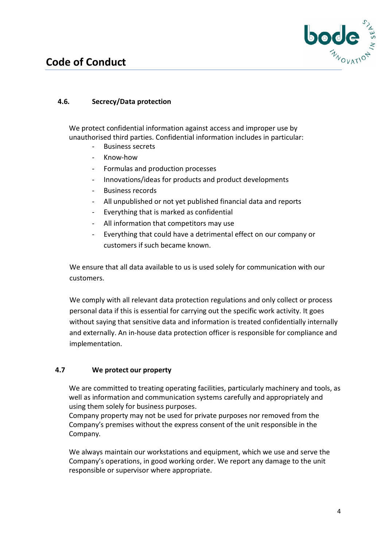

# **Code of Conduct**

# **4.6. Secrecy/Data protection**

We protect confidential information against access and improper use by unauthorised third parties. Confidential information includes in particular:

- Business secrets
- Know-how
- Formulas and production processes
- Innovations/ideas for products and product developments
- Business records
- All unpublished or not yet published financial data and reports
- Everything that is marked as confidential
- All information that competitors may use
- Everything that could have a detrimental effect on our company or customers if such became known.

We ensure that all data available to us is used solely for communication with our customers.

We comply with all relevant data protection regulations and only collect or process personal data if this is essential for carrying out the specific work activity. It goes without saying that sensitive data and information is treated confidentially internally and externally. An in-house data protection officer is responsible for compliance and implementation.

## **4.7 We protect our property**

We are committed to treating operating facilities, particularly machinery and tools, as well as information and communication systems carefully and appropriately and using them solely for business purposes.

Company property may not be used for private purposes nor removed from the Company's premises without the express consent of the unit responsible in the Company.

We always maintain our workstations and equipment, which we use and serve the Company's operations, in good working order. We report any damage to the unit responsible or supervisor where appropriate.